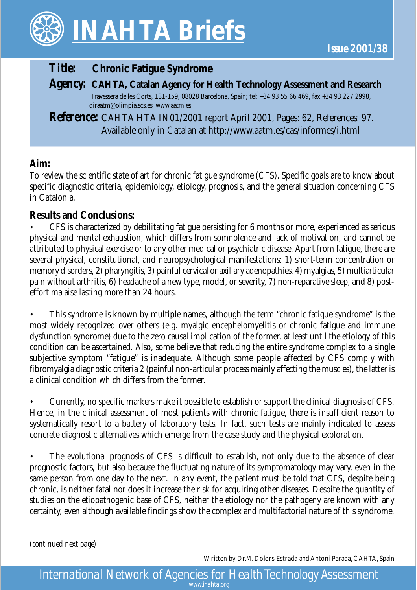

# *Title:* **Chronic Fatigue Syndrome**

*Agency:* **CAHTA, Catalan Agency for Health Technology Assessment and Research** Travessera de les Corts, 131-159, 08028 Barcelona, Spain; tel: +34 93 55 66 469, fax:+34 93 227 2998,

diraatm@olimpia.scs.es, www.aatm.es

*Reference:* CAHTA HTA IN01/2001 report April 2001, Pages: 62, References: 97. Available only in Catalan at http://www.aatm.es/cas/informes/i.html

### **Aim:**

To review the scientific state of art for chronic fatigue syndrome (CFS). Specific goals are to know about specific diagnostic criteria, epidemiology, etiology, prognosis, and the general situation concerning CFS in Catalonia.

### **Results and Conclusions:**

• CFS is characterized by debilitating fatigue persisting for 6 months or more, experienced as serious physical and mental exhaustion, which differs from somnolence and lack of motivation, and cannot be attributed to physical exercise or to any other medical or psychiatric disease. Apart from fatigue, there are several physical, constitutional, and neuropsychological manifestations: 1) short-term concentration or memory disorders, 2) pharyngitis, 3) painful cervical or axillary adenopathies, 4) myalgias, 5) multiarticular pain without arthritis, 6) headache of a new type, model, or severity, 7) non-reparative sleep, and 8) posteffort malaise lasting more than 24 hours.

• This syndrome is known by multiple names, although the term "chronic fatigue syndrome" is the most widely recognized over others (e.g. myalgic encephelomyelitis or chronic fatigue and immune dysfunction syndrome) due to the zero causal implication of the former, at least until the etiology of this condition can be ascertained. Also, some believe that reducing the entire syndrome complex to a single subjective symptom "fatigue" is inadequate. Although some people affected by CFS comply with fibromyalgia diagnostic criteria 2 (painful non-articular process mainly affecting the muscles), the latter is a clinical condition which differs from the former.

• Currently, no specific markers make it possible to establish or support the clinical diagnosis of CFS. Hence, in the clinical assessment of most patients with chronic fatigue, there is insufficient reason to systematically resort to a battery of laboratory tests. In fact, such tests are mainly indicated to assess concrete diagnostic alternatives which emerge from the case study and the physical exploration.

The evolutional prognosis of CFS is difficult to establish, not only due to the absence of clear prognostic factors, but also because the fluctuating nature of its symptomatology may vary, even in the same person from one day to the next. In any event, the patient must be told that CFS, despite being chronic, is neither fatal nor does it increase the risk for acquiring other diseases. Despite the quantity of studies on the etiopathogenic base of CFS, neither the etiology nor the pathogeny are known with any certainty, even although available findings show the complex and multifactorial nature of this syndrome.

*(continued next page)*

Written by Dr.M. Dolors Estrada and Antoni Parada, CAHTA, Spain